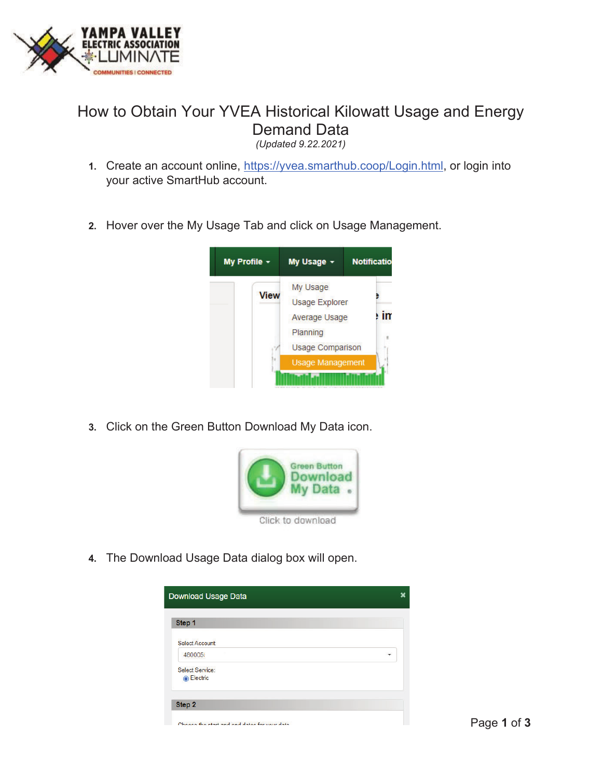

## How to Obtain Your YVEA Historical Kilowatt Usage and Energy Demand Data

*(Updated 9.22.2021)* 

- **1.** Create an account online, https://yvea.smarthub.coop/Login.html, or login into your active SmartHub account.
- **2.** Hover over the My Usage Tab and click on Usage Management.



**3.** Click on the Green Button Download My Data icon.



**4.** The Download Usage Data dialog box will open.

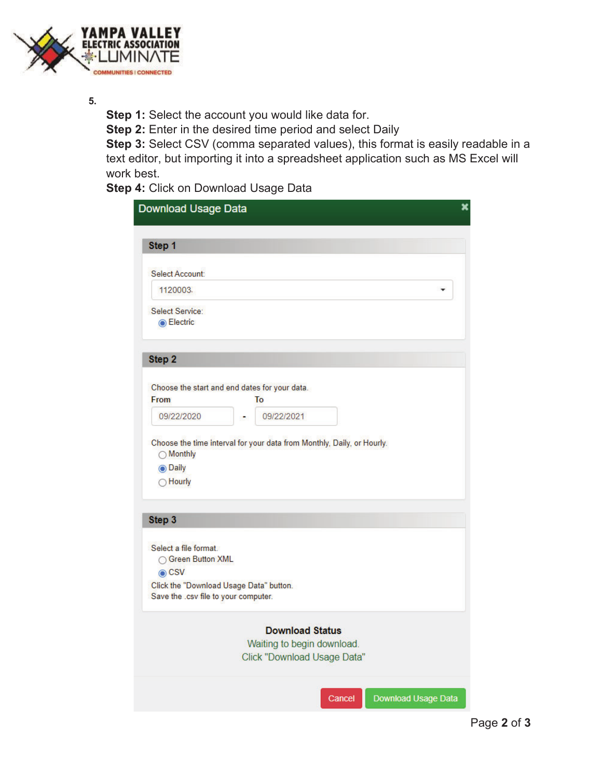

**5.** 

**Step 1:** Select the account you would like data for.

**Step 2:** Enter in the desired time period and select Daily

**Step 3:** Select CSV (comma separated values), this format is easily readable in a text editor, but importing it into a spreadsheet application such as MS Excel will work best.

**Step 4:** Click on Download Usage Data

| Download Usage Data                                                             |                                                                                     |
|---------------------------------------------------------------------------------|-------------------------------------------------------------------------------------|
| Step 1                                                                          |                                                                                     |
| Select Account:                                                                 |                                                                                     |
| 1120003.                                                                        |                                                                                     |
| Select Service:<br><b>◎ Electric</b>                                            |                                                                                     |
| Step 2                                                                          |                                                                                     |
|                                                                                 | Choose the start and end dates for your data.                                       |
| From                                                                            | To                                                                                  |
| 09/22/2020                                                                      | 09/22/2021                                                                          |
| ◯ Hourly                                                                        |                                                                                     |
| Step 3                                                                          |                                                                                     |
| Select a file format.<br>○ Green Button XML<br>$\odot$ CSV                      |                                                                                     |
| Click the "Download Usage Data" button.<br>Save the .csv file to your computer. |                                                                                     |
|                                                                                 | <b>Download Status</b><br>Waiting to begin download.<br>Click "Download Usage Data" |
|                                                                                 | Download Usage Data<br>Cancel                                                       |